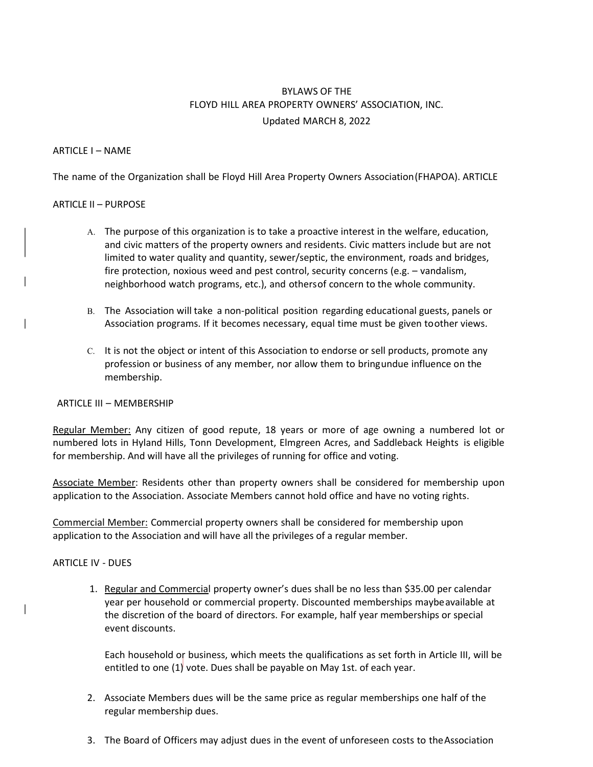# BYLAWS OF THE FLOYD HILL AREA PROPERTY OWNERS' ASSOCIATION, INC. Updated MARCH 8, 2022

## ARTICLE I – NAME

The name of the Organization shall be Floyd Hill Area Property Owners Association (FHAPOA). ARTICLE

## ARTICLE II – PURPOSE

- A. The purpose of this organization is to take a proactive interest in the welfare, education, and civic matters of the property owners and residents. Civic matters include but are not limited to water quality and quantity, sewer/septic, the environment, roads and bridges, fire protection, noxious weed and pest control, security concerns (e.g. – vandalism, neighborhood watch programs, etc.), and others of concern to the whole community.
- B. The Association will take a non-political position regarding educational guests, panels or Association programs. If it becomes necessary, equal time must be given to other views.
- C. It is not the object or intent of this Association to endorse or sell products, promote any profession or business of any member, nor allow them to bring undue influence on the membership.

#### ARTICLE III – MEMBERSHIP

Regular Member: Any citizen of good repute, 18 years or more of age owning a numbered lot or numbered lots in Hyland Hills, Tonn Development, Elmgreen Acres, and Saddleback Heights is eligible for membership. And will have all the privileges of running for office and voting.

Associate Member: Residents other than property owners shall be considered for membership upon application to the Association. Associate Members cannot hold office and have no voting rights.

Commercial Member: Commercial property owners shall be considered for membership upon application to the Association and will have all the privileges of a regular member.

# ARTICLE IV - DUES

1. Regular and Commercial property owner's dues shall be no less than \$35.00 per calendar year per household or commercial property. Discounted memberships maybe available at the discretion of the board of directors. For example, half year memberships or special event discounts.

Each household or business, which meets the qualifications as set forth in Article III, will be entitled to one (1) vote. Dues shall be payable on May 1st. of each year.

- 2. Associate Members dues will be the same price as regular memberships one half of the regular membership dues.
- 3. The Board of Officers may adjust dues in the event of unforeseen costs to the Association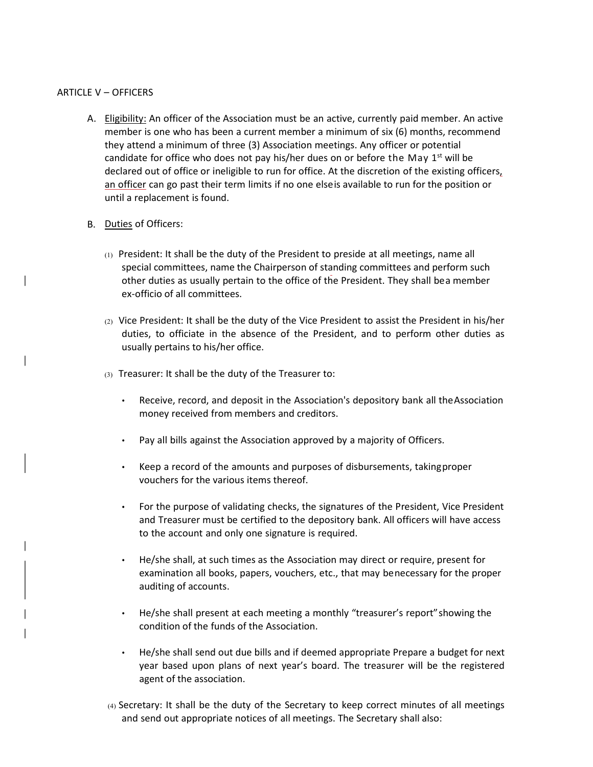## ARTICLE V – OFFICERS

- A. Eligibility: An officer of the Association must be an active, currently paid member. An active member is one who has been a current member a minimum of six (6) months, recommend they attend a minimum of three (3) Association meetings. Any officer or potential candidate for office who does not pay his/her dues on or before the May  $1<sup>st</sup>$  will be declared out of office or ineligible to run for office. At the discretion of the existing officers, an officer can go past their term limits if no one elseis available to run for the position or until a replacement is found.
- B. Duties of Officers:
	- (1) President: It shall be the duty of the President to preside at all meetings, name all special committees, name the Chairperson of standing committees and perform such other duties as usually pertain to the office of the President. They shall be a member ex-officio of all committees.
	- (2) Vice President: It shall be the duty of the Vice President to assist the President in his/her duties, to officiate in the absence of the President, and to perform other duties as usually pertains to his/her office.
	- (3) Treasurer: It shall be the duty of the Treasurer to:
		- Receive, record, and deposit in the Association's depository bank all the Association money received from members and creditors.
		- Pay all bills against the Association approved by a majority of Officers.
		- Keep a record of the amounts and purposes of disbursements, taking proper vouchers for the various items thereof.
		- For the purpose of validating checks, the signatures of the President, Vice President and Treasurer must be certified to the depository bank. All officers will have access to the account and only one signature is required.
		- He/she shall, at such times as the Association may direct or require, present for examination all books, papers, vouchers, etc., that may be necessary for the proper auditing of accounts.
		- He/she shall present at each meeting a monthly "treasurer's report" showing the condition of the funds of the Association.
		- He/she shall send out due bills and if deemed appropriate Prepare a budget for next year based upon plans of next year's board. The treasurer will be the registered agent of the association.
	- (4) Secretary: It shall be the duty of the Secretary to keep correct minutes of all meetings and send out appropriate notices of all meetings. The Secretary shall also: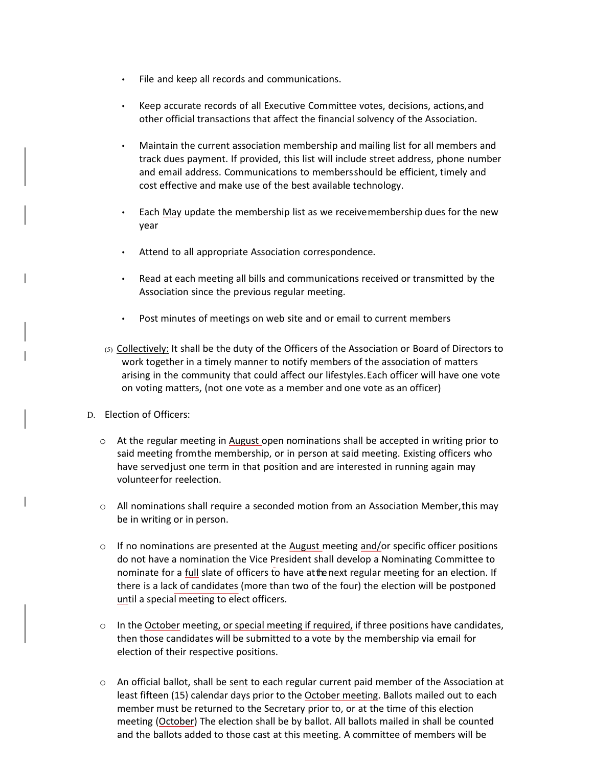- File and keep all records and communications.
- Keep accurate records of all Executive Committee votes, decisions, actions, and other official transactions that affect the financial solvency of the Association.
- Maintain the current association membership and mailing list for all members and track dues payment. If provided, this list will include street address, phone number and email address. Communications to members should be efficient, timely and cost effective and make use of the best available technology.
- Each May update the membership list as we receive membership dues for the new year
- Attend to all appropriate Association correspondence.
- Read at each meeting all bills and communications received or transmitted by the Association since the previous regular meeting.
- Post minutes of meetings on web site and or email to current members
- (5) Collectively: It shall be the duty of the Officers of the Association or Board of Directors to work together in a timely manner to notify members of the association of matters arising in the community that could affect our lifestyles. Each officer will have one vote on voting matters, (not one vote as a member and one vote as an officer)
- D. Election of Officers:
	- o At the regular meeting in August open nominations shall be accepted in writing prior to said meeting from the membership, or in person at said meeting. Existing officers who have served just one term in that position and are interested in running again may volunteer for reelection.
	- o All nominations shall require a seconded motion from an Association Member, this may be in writing or in person.
	- $\circ$  If no nominations are presented at the August meeting and/or specific officer positions do not have a nomination the Vice President shall develop a Nominating Committee to nominate for a full slate of officers to have at the next regular meeting for an election. If there is a lack of candidates (more than two of the four) the election will be postponed until a special meeting to elect officers.
	- $\circ$  In the October meeting, or special meeting if required, if three positions have candidates, then those candidates will be submitted to a vote by the membership via email for election of their respective positions.
	- $\circ$  An official ballot, shall be sent to each regular current paid member of the Association at least fifteen (15) calendar days prior to the October meeting. Ballots mailed out to each member must be returned to the Secretary prior to, or at the time of this election meeting (October) The election shall be by ballot. All ballots mailed in shall be counted and the ballots added to those cast at this meeting. A committee of members will be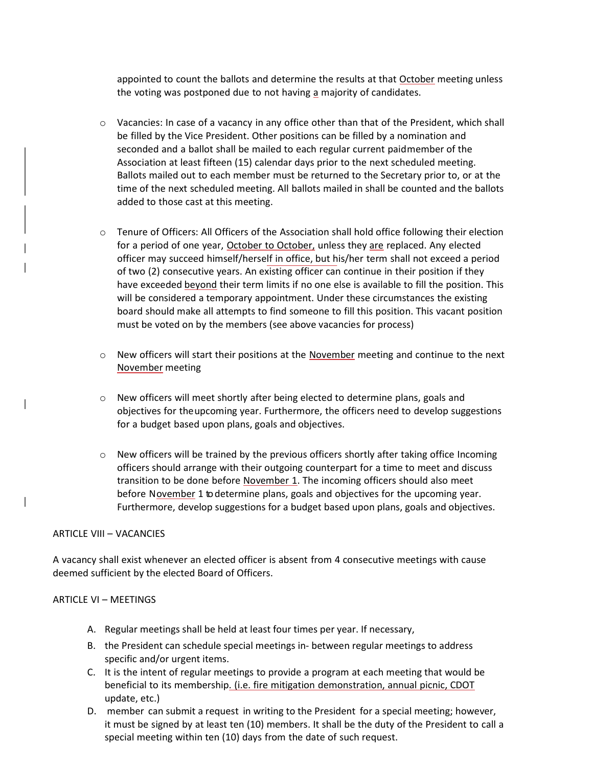appointed to count the ballots and determine the results at that October meeting unless the voting was postponed due to not having a majority of candidates.

- $\circ$  Vacancies: In case of a vacancy in any office other than that of the President, which shall be filled by the Vice President. Other positions can be filled by a nomination and seconded and a ballot shall be mailed to each regular current paid member of the Association at least fifteen (15) calendar days prior to the next scheduled meeting. Ballots mailed out to each member must be returned to the Secretary prior to, or at the time of the next scheduled meeting. All ballots mailed in shall be counted and the ballots added to those cast at this meeting.
- $\circ$  Tenure of Officers: All Officers of the Association shall hold office following their election for a period of one year, October to October, unless they are replaced. Any elected officer may succeed himself/herself in office, but his/her term shall not exceed a period of two (2) consecutive years. An existing officer can continue in their position if they have exceeded beyond their term limits if no one else is available to fill the position. This will be considered a temporary appointment. Under these circumstances the existing board should make all attempts to find someone to fill this position. This vacant position must be voted on by the members (see above vacancies for process)
- $\circ$  New officers will start their positions at the November meeting and continue to the next November meeting
- $\circ$  New officers will meet shortly after being elected to determine plans, goals and objectives for the upcoming year. Furthermore, the officers need to develop suggestions for a budget based upon plans, goals and objectives.
- $\circ$  New officers will be trained by the previous officers shortly after taking office Incoming officers should arrange with their outgoing counterpart for a time to meet and discuss transition to be done before November 1. The incoming officers should also meet before November 1 to determine plans, goals and objectives for the upcoming year. Furthermore, develop suggestions for a budget based upon plans, goals and objectives.

#### ARTICLE VIII – VACANCIES

A vacancy shall exist whenever an elected officer is absent from 4 consecutive meetings with cause deemed sufficient by the elected Board of Officers.

#### ARTICLE VI – MEETINGS

- A. Regular meetings shall be held at least four times per year. If necessary,
- B. the President can schedule special meetings in- between regular meetings to address specific and/or urgent items.
- C. It is the intent of regular meetings to provide a program at each meeting that would be beneficial to its membership. (i.e. fire mitigation demonstration, annual picnic, CDOT update, etc.)
- D. member can submit a request in writing to the President for a special meeting; however, it must be signed by at least ten (10) members. It shall be the duty of the President to call a special meeting within ten (10) days from the date of such request.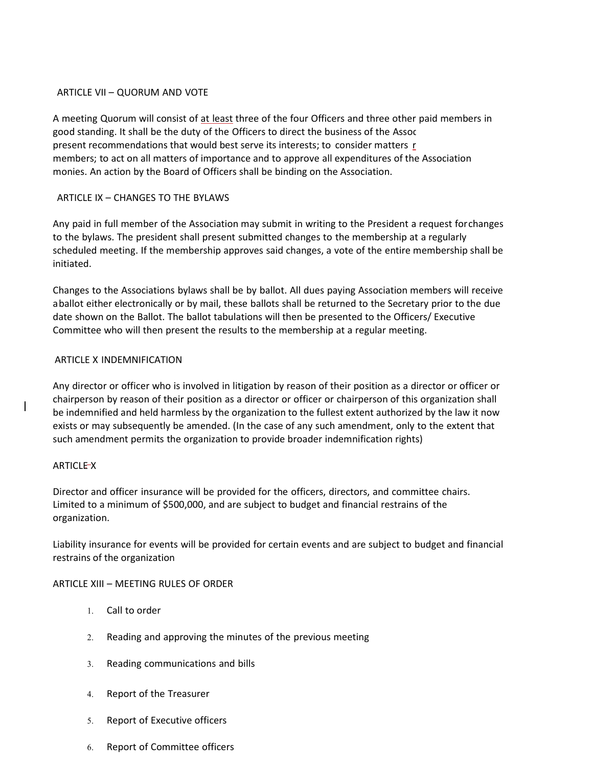## ARTICLE VII – QUORUM AND VOTE

A meeting Quorum will consist of at least three of the four Officers and three other paid members in good standing. It shall be the duty of the Officers to direct the business of the Assoc present recommendations that would best serve its interests; to consider matters r members; to act on all matters of importance and to approve all expenditures of the Association monies. An action by the Board of Officers shall be binding on the Association.

# ARTICLE IX – CHANGES TO THE BYLAWS

Any paid in full member of the Association may submit in writing to the President a request for changes to the bylaws. The president shall present submitted changes to the membership at a regularly scheduled meeting. If the membership approves said changes, a vote of the entire membership shall be initiated.

Changes to the Associations bylaws shall be by ballot. All dues paying Association members will receive a ballot either electronically or by mail, these ballots shall be returned to the Secretary prior to the due date shown on the Ballot. The ballot tabulations will then be presented to the Officers/ Executive Committee who will then present the results to the membership at a regular meeting.

## ARTICLE X INDEMNIFICATION

Any director or officer who is involved in litigation by reason of their position as a director or officer or chairperson by reason of their position as a director or officer or chairperson of this organization shall be indemnified and held harmless by the organization to the fullest extent authorized by the law it now exists or may subsequently be amended. (In the case of any such amendment, only to the extent that such amendment permits the organization to provide broader indemnification rights)

# ARTICLE X

Director and officer insurance will be provided for the officers, directors, and committee chairs. Limited to a minimum of \$500,000, and are subject to budget and financial restrains of the organization.

Liability insurance for events will be provided for certain events and are subject to budget and financial restrains of the organization

# ARTICLE XIII – MEETING RULES OF ORDER

- 1. Call to order
- 2. Reading and approving the minutes of the previous meeting
- 3. Reading communications and bills
- 4. Report of the Treasurer
- 5. Report of Executive officers
- 6. Report of Committee officers